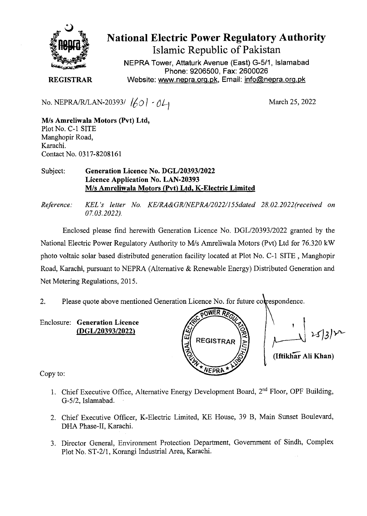

## National Electric Power Regulatory Authority

Islamic Republic of Pakistan

**NEPRA Tower, Attaturk Avenue (East) G-511, Islamabad Phone: 9206500, Fax: 2600026**  Website: www.nepra.org.pk, Email: info@nepra.org.pk

**REGISTRAR** 

No. NEPRA/R/LAN-20393/  $\binom{1}{0}$  -  $\frac{0}{4}$ 

M/s **Amreliwala Motors (Pvt) Ltd,**  Plot No. C-i SITE Manghopir Road, Karachi. Contact No. 0317-8208161

## Subject: **Generation Licence** No. DGL/20393/2022 **Licence Application No.** LAN-20393 MIs **Amreliwala Motors (Pvt) Ltd,** K**-Electric Limited**

*Reference.' KEL 's letter No. KE/RA&GR/NEPRA/2022/I55dated 28.02. 2022(received on 07.03.2022).* 

Enclosed please find herewith Generation Licence No. DGL/20393/2022 granted by the National Electric Power Regulatory Authority to M/s Amreliwala Motors (Pvt) Ltd for 76.320 kW photo voltaic solar based distributed generation facility located at Plot No. C-i SITE, Manghopir Road, Karachi, pursuant to NEPRA (Alternative & Renewable Energy) Distributed Generation and Net Metering Regulations, 2015.

2. Please quote above mentioned Generation Licence No. for future correspondence.

Enclosure: **Generation Licence (DGL/20393/2022)** 



nce.<br>'<br>'

Copy to:

- 1. Chief Executive Office, Alternative Energy Development Board, 2<sup>nd</sup> Floor, OPF Building, G-5/2, Islamabad.
- 2. Chief Executive Officer, K-Electric Limited, KE House, 39 B, Main Sunset Boulevard, DHA Phase-Il, Karachi.
- 3. Director General, Environment Protection Department, Government of Sindh, Complex Plot No. ST-2/i, Korangi industrial Area, Karachi.